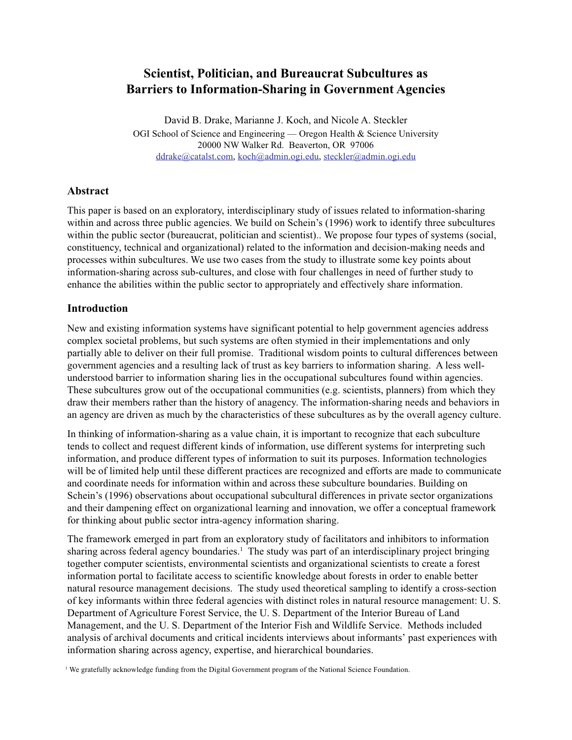# **Scientist, Politician, and Bureaucrat Subcultures as Barriers to Information-Sharing in Government Agencies**

David B. Drake, Marianne J. Koch, and Nicole A. Steckler OGI School of Science and Engineering — Oregon Health  $\&$  Science University 20000 NW Walker Rd. Beaverton, OR 97006 ddrake@catalst.com, koch@admin.ogi.edu, steckler@admin.ogi.edu

### **Abstract**

This paper is based on an exploratory, interdisciplinary study of issues related to information-sharing within and across three public agencies. We build on Schein's (1996) work to identify three subcultures within the public sector (bureaucrat, politician and scientist).. We propose four types of systems (social, constituency, technical and organizational) related to the information and decision-making needs and processes within subcultures. We use two cases from the study to illustrate some key points about information-sharing across sub-cultures, and close with four challenges in need of further study to enhance the abilities within the public sector to appropriately and effectively share information.

### **Introduction**

New and existing information systems have significant potential to help government agencies address complex societal problems, but such systems are often stymied in their implementations and only partially able to deliver on their full promise. Traditional wisdom points to cultural differences between government agencies and a resulting lack of trust as key barriers to information sharing. A less wellunderstood barrier to information sharing lies in the occupational subcultures found within agencies. These subcultures grow out of the occupational communities (e.g. scientists, planners) from which they draw their members rather than the history of anagency. The information-sharing needs and behaviors in an agency are driven as much by the characteristics of these subcultures as by the overall agency culture.

In thinking of information-sharing as a value chain, it is important to recognize that each subculture tends to collect and request different kinds of information, use different systems for interpreting such information, and produce different types of information to suit its purposes. Information technologies will be of limited help until these different practices are recognized and efforts are made to communicate and coordinate needs for information within and across these subculture boundaries. Building on Schein's (1996) observations about occupational subcultural differences in private sector organizations and their dampening effect on organizational learning and innovation, we offer a conceptual framework for thinking about public sector intra-agency information sharing.

The framework emerged in part from an exploratory study of facilitators and inhibitors to information sharing across federal agency boundaries.<sup>1</sup> The study was part of an interdisciplinary project bringing together computer scientists, environmental scientists and organizational scientists to create a forest information portal to facilitate access to scientific knowledge about forests in order to enable better natural resource management decisions. The study used theoretical sampling to identify a cross-section of key informants within three federal agencies with distinct roles in natural resource management: U. S. Department of Agriculture Forest Service, the U. S. Department of the Interior Bureau of Land Management, and the U. S. Department of the Interior Fish and Wildlife Service. Methods included analysis of archival documents and critical incidents interviews about informants' past experiences with information sharing across agency, expertise, and hierarchical boundaries.

<sup>1</sup> We gratefully acknowledge funding from the Digital Government program of the National Science Foundation.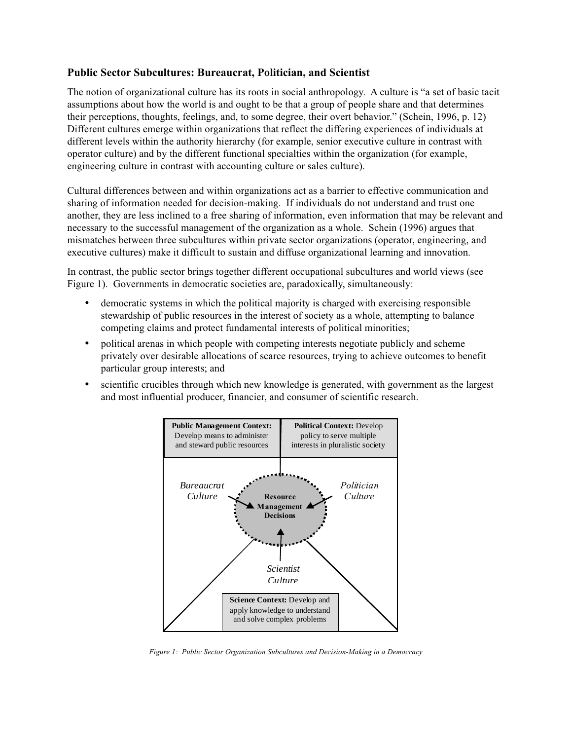### **Public Sector Subcultures: Bureaucrat, Politician, and Scientist**

The notion of organizational culture has its roots in social anthropology. A culture is "a set of basic tacit assumptions about how the world is and ought to be that a group of people share and that determines their perceptions, thoughts, feelings, and, to some degree, their overt behavior." (Schein, 1996, p. 12) Different cultures emerge within organizations that reflect the differing experiences of individuals at different levels within the authority hierarchy (for example, senior executive culture in contrast with operator culture) and by the different functional specialties within the organization (for example, engineering culture in contrast with accounting culture or sales culture).

Cultural differences between and within organizations act as a barrier to effective communication and sharing of information needed for decision-making. If individuals do not understand and trust one another, they are less inclined to a free sharing of information, even information that may be relevant and necessary to the successful management of the organization as a whole. Schein (1996) argues that mismatches between three subcultures within private sector organizations (operator, engineering, and executive cultures) make it difficult to sustain and diffuse organizational learning and innovation.

In contrast, the public sector brings together different occupational subcultures and world views (see Figure 1). Governments in democratic societies are, paradoxically, simultaneously:

- democratic systems in which the political majority is charged with exercising responsible stewardship of public resources in the interest of society as a whole, attempting to balance competing claims and protect fundamental interests of political minorities;
- political arenas in which people with competing interests negotiate publicly and scheme privately over desirable allocations of scarce resources, trying to achieve outcomes to benefit particular group interests; and
- scientific crucibles through which new knowledge is generated, with government as the largest and most influential producer, financier, and consumer of scientific research.



*Figure 1: Public Sector Organization Subcultures and Decision-Making in a Democracy*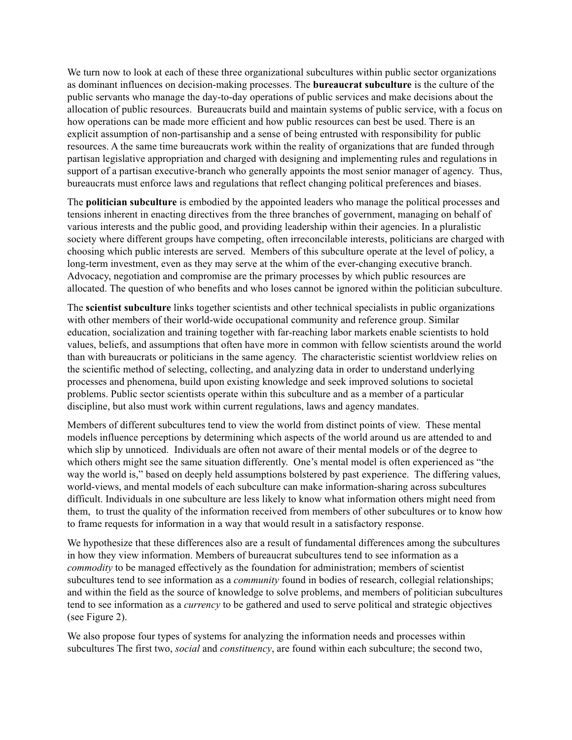We turn now to look at each of these three organizational subcultures within public sector organizations as dominant influences on decision-making processes. The **bureaucrat subculture** is the culture of the public servants who manage the day-to-day operations of public services and make decisions about the allocation of public resources. Bureaucrats build and maintain systems of public service, with a focus on how operations can be made more efficient and how public resources can best be used. There is an explicit assumption of non-partisanship and a sense of being entrusted with responsibility for public resources. A the same time bureaucrats work within the reality of organizations that are funded through partisan legislative appropriation and charged with designing and implementing rules and regulations in support of a partisan executive-branch who generally appoints the most senior manager of agency. Thus, bureaucrats must enforce laws and regulations that reflect changing political preferences and biases.

The **politician subculture** is embodied by the appointed leaders who manage the political processes and tensions inherent in enacting directives from the three branches of government, managing on behalf of various interests and the public good, and providing leadership within their agencies. In a pluralistic society where different groups have competing, often irreconcilable interests, politicians are charged with choosing which public interests are served. Members of this subculture operate at the level of policy, a long-term investment, even as they may serve at the whim of the ever-changing executive branch. Advocacy, negotiation and compromise are the primary processes by which public resources are allocated. The question of who benefits and who loses cannot be ignored within the politician subculture.

The **scientist subculture** links together scientists and other technical specialists in public organizations with other members of their world-wide occupational community and reference group. Similar education, socialization and training together with far-reaching labor markets enable scientists to hold values, beliefs, and assumptions that often have more in common with fellow scientists around the world than with bureaucrats or politicians in the same agency. The characteristic scientist worldview relies on the scientific method of selecting, collecting, and analyzing data in order to understand underlying processes and phenomena, build upon existing knowledge and seek improved solutions to societal problems. Public sector scientists operate within this subculture and as a member of a particular discipline, but also must work within current regulations, laws and agency mandates.

Members of different subcultures tend to view the world from distinct points of view. These mental models influence perceptions by determining which aspects of the world around us are attended to and which slip by unnoticed. Individuals are often not aware of their mental models or of the degree to which others might see the same situation differently. One's mental model is often experienced as "the way the world is," based on deeply held assumptions bolstered by past experience. The differing values, world-views, and mental models of each subculture can make information-sharing across subcultures difficult. Individuals in one subculture are less likely to know what information others might need from them, to trust the quality of the information received from members of other subcultures or to know how to frame requests for information in a way that would result in a satisfactory response.

We hypothesize that these differences also are a result of fundamental differences among the subcultures in how they view information. Members of bureaucrat subcultures tend to see information as a *commodity* to be managed effectively as the foundation for administration; members of scientist subcultures tend to see information as a *community* found in bodies of research, collegial relationships; and within the field as the source of knowledge to solve problems, and members of politician subcultures tend to see information as a *currency* to be gathered and used to serve political and strategic objectives (see Figure 2).

We also propose four types of systems for analyzing the information needs and processes within subcultures The first two, *social* and *constituency*, are found within each subculture; the second two,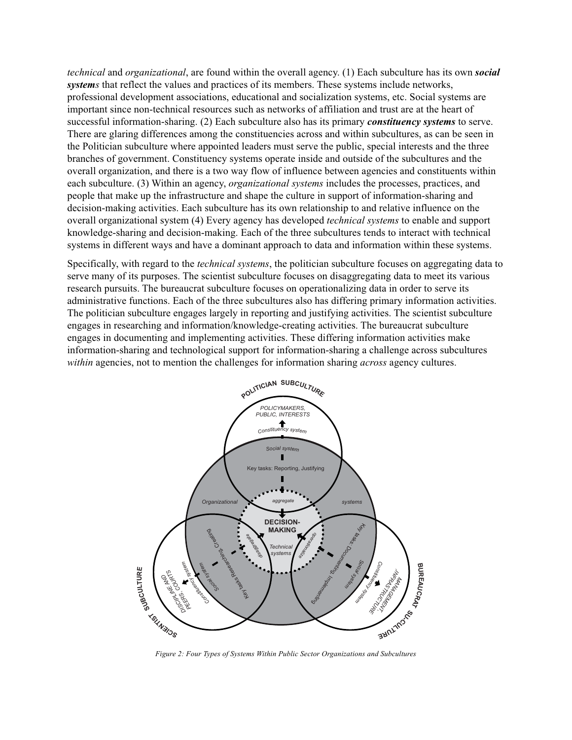*technical* and *organizational*, are found within the overall agency. (1) Each subculture has its own *social systems* that reflect the values and practices of its members. These systems include networks, professional development associations, educational and socialization systems, etc. Social systems are important since non-technical resources such as networks of affiliation and trust are at the heart of successful information-sharing. (2) Each subculture also has its primary *constituency systems* to serve. There are glaring differences among the constituencies across and within subcultures, as can be seen in the Politician subculture where appointed leaders must serve the public, special interests and the three branches of government. Constituency systems operate inside and outside of the subcultures and the overall organization, and there is a two way flow of influence between agencies and constituents within each subculture. (3) Within an agency, *organizational systems* includes the processes, practices, and people that make up the infrastructure and shape the culture in support of information-sharing and decision-making activities. Each subculture has its own relationship to and relative influence on the overall organizational system (4) Every agency has developed *technical systems* to enable and support knowledge-sharing and decision-making. Each of the three subcultures tends to interact with technical systems in different ways and have a dominant approach to data and information within these systems.

Specifically, with regard to the *technical systems*, the politician subculture focuses on aggregating data to serve many of its purposes. The scientist subculture focuses on disaggregating data to meet its various research pursuits. The bureaucrat subculture focuses on operationalizing data in order to serve its administrative functions. Each of the three subcultures also has differing primary information activities. The politician subculture engages largely in reporting and justifying activities. The scientist subculture engages in researching and information/knowledge-creating activities. The bureaucrat subculture engages in documenting and implementing activities. These differing information activities make information-sharing and technological support for information-sharing a challenge across subcultures *within* agencies, not to mention the challenges for information sharing *across* agency cultures.



*Figure 2: Four Types of Systems Within Public Sector Organizations and Subcultures*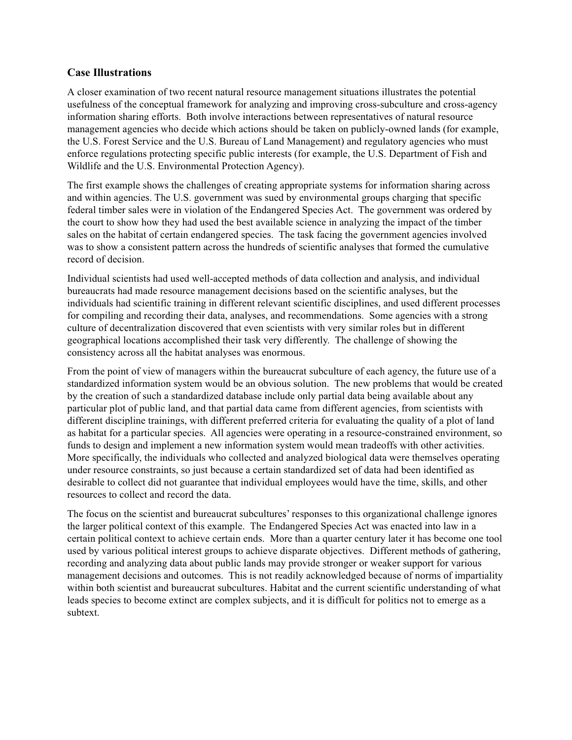### **Case Illustrations**

A closer examination of two recent natural resource management situations illustrates the potential usefulness of the conceptual framework for analyzing and improving cross-subculture and cross-agency information sharing efforts. Both involve interactions between representatives of natural resource management agencies who decide which actions should be taken on publicly-owned lands (for example, the U.S. Forest Service and the U.S. Bureau of Land Management) and regulatory agencies who must enforce regulations protecting specific public interests (for example, the U.S. Department of Fish and Wildlife and the U.S. Environmental Protection Agency).

The first example shows the challenges of creating appropriate systems for information sharing across and within agencies. The U.S. government was sued by environmental groups charging that specific federal timber sales were in violation of the Endangered Species Act. The government was ordered by the court to show how they had used the best available science in analyzing the impact of the timber sales on the habitat of certain endangered species. The task facing the government agencies involved was to show a consistent pattern across the hundreds of scientific analyses that formed the cumulative record of decision.

Individual scientists had used well-accepted methods of data collection and analysis, and individual bureaucrats had made resource management decisions based on the scientific analyses, but the individuals had scientific training in different relevant scientific disciplines, and used different processes for compiling and recording their data, analyses, and recommendations. Some agencies with a strong culture of decentralization discovered that even scientists with very similar roles but in different geographical locations accomplished their task very differently. The challenge of showing the consistency across all the habitat analyses was enormous.

From the point of view of managers within the bureaucrat subculture of each agency, the future use of a standardized information system would be an obvious solution. The new problems that would be created by the creation of such a standardized database include only partial data being available about any particular plot of public land, and that partial data came from different agencies, from scientists with different discipline trainings, with different preferred criteria for evaluating the quality of a plot of land as habitat for a particular species. All agencies were operating in a resource-constrained environment, so funds to design and implement a new information system would mean tradeoffs with other activities. More specifically, the individuals who collected and analyzed biological data were themselves operating under resource constraints, so just because a certain standardized set of data had been identified as desirable to collect did not guarantee that individual employees would have the time, skills, and other resources to collect and record the data.

The focus on the scientist and bureaucrat subcultures' responses to this organizational challenge ignores the larger political context of this example. The Endangered Species Act was enacted into law in a certain political context to achieve certain ends. More than a quarter century later it has become one tool used by various political interest groups to achieve disparate objectives. Different methods of gathering, recording and analyzing data about public lands may provide stronger or weaker support for various management decisions and outcomes. This is not readily acknowledged because of norms of impartiality within both scientist and bureaucrat subcultures. Habitat and the current scientific understanding of what leads species to become extinct are complex subjects, and it is difficult for politics not to emerge as a subtext.